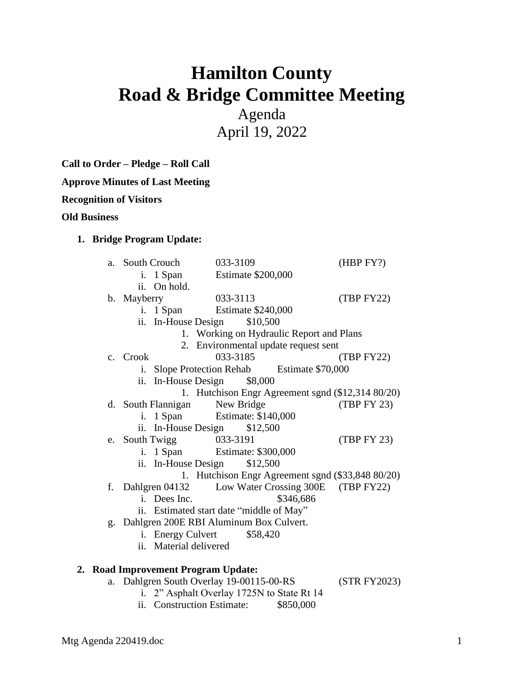# **Hamilton County Road & Bridge Committee Meeting**

Agenda April 19, 2022

**Call to Order – Pledge – Roll Call**

**Approve Minutes of Last Meeting**

**Recognition of Visitors**

**Old Business**

#### **1. Bridge Program Update:**

|                                     | a.                                                                                     | South Crouch                     | 033-3109                                          | (HBP FY?)   |
|-------------------------------------|----------------------------------------------------------------------------------------|----------------------------------|---------------------------------------------------|-------------|
|                                     |                                                                                        | i. 1 Span                        | <b>Estimate \$200,000</b>                         |             |
|                                     |                                                                                        | ii. On hold.                     |                                                   |             |
|                                     |                                                                                        | b. Mayberry                      | 033-3113                                          | (TBP FY22)  |
|                                     |                                                                                        | i. 1 Span                        | Estimate \$240,000                                |             |
|                                     |                                                                                        | ii. In-House Design              | \$10,500                                          |             |
|                                     | 1. Working on Hydraulic Report and Plans                                               |                                  |                                                   |             |
|                                     | 2. Environmental update request sent                                                   |                                  |                                                   |             |
|                                     |                                                                                        | c. Crook                         | 033-3185                                          | (TBP FY22)  |
|                                     | Slope Protection Rehab Estimate \$70,000<br>i.                                         |                                  |                                                   |             |
|                                     |                                                                                        | ii. In-House Design              | \$8,000                                           |             |
|                                     |                                                                                        |                                  | 1. Hutchison Engr Agreement sgnd (\$12,314 80/20) |             |
|                                     |                                                                                        | d. South Flannigan               | New Bridge                                        | (TBP FY 23) |
|                                     |                                                                                        | i. 1 Span                        | Estimate: \$140,000                               |             |
|                                     |                                                                                        | ii. In-House Design              | \$12,500                                          |             |
|                                     |                                                                                        | e. South Twigg                   | 033-3191                                          | (TBP FY 23) |
|                                     |                                                                                        | i. 1 Span<br>Estimate: \$300,000 |                                                   |             |
| \$12,500<br>ii. In-House Design     |                                                                                        |                                  |                                                   |             |
|                                     | 1. Hutchison Engr Agreement sgnd (\$33,848 80/20)                                      |                                  |                                                   |             |
|                                     | f.                                                                                     | Dahlgren 04132                   | Low Water Crossing 300E (TBP FY22)                |             |
|                                     |                                                                                        | i. Dees Inc.                     | \$346,686                                         |             |
|                                     | ii. Estimated start date "middle of May"<br>g. Dahlgren 200E RBI Aluminum Box Culvert. |                                  |                                                   |             |
|                                     |                                                                                        |                                  |                                                   |             |
|                                     |                                                                                        | i. Energy Culvert<br>\$58,420    |                                                   |             |
|                                     | ii. Material delivered                                                                 |                                  |                                                   |             |
|                                     |                                                                                        |                                  |                                                   |             |
| 2. Road Improvement Program Update: |                                                                                        |                                  |                                                   |             |

- a. Dahlgren South Overlay 19-00115-00-RS (STR FY2023)
	- i. 2" Asphalt Overlay 1725N to State Rt 14
	- ii. Construction Estimate: \$850,000

Mtg Agenda 220419.doc 1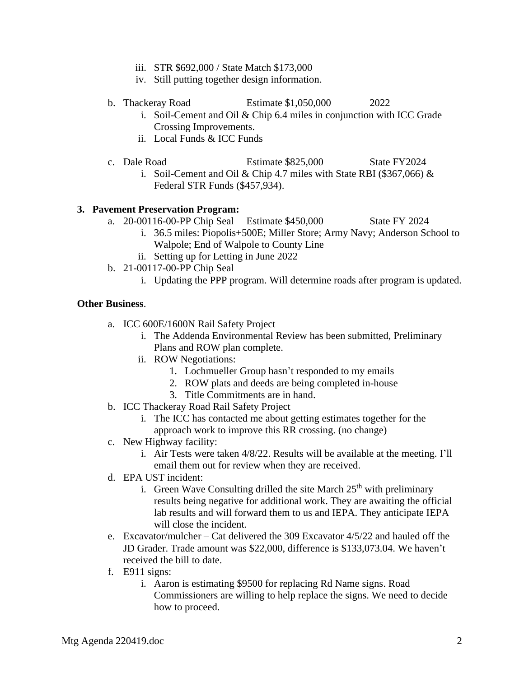- iii. STR \$692,000 / State Match \$173,000
- iv. Still putting together design information.

- b. Thackeray Road Estimate \$1,050,000 2022
	- i. Soil-Cement and Oil & Chip 6.4 miles in conjunction with ICC Grade Crossing Improvements.
	- ii. Local Funds & ICC Funds
- c. Dale Road Estimate \$825,000 State FY2024
	- i. Soil-Cement and Oil & Chip 4.7 miles with State RBI (\$367,066) & Federal STR Funds (\$457,934).

## **3. Pavement Preservation Program:**

- a. 20-00116-00-PP Chip Seal Estimate \$450,000 State FY 2024
	- i. 36.5 miles: Piopolis+500E; Miller Store; Army Navy; Anderson School to Walpole; End of Walpole to County Line
	- ii. Setting up for Letting in June 2022
- b. 21-00117-00-PP Chip Seal
	- i. Updating the PPP program. Will determine roads after program is updated.

### **Other Business**.

- a. ICC 600E/1600N Rail Safety Project
	- i. The Addenda Environmental Review has been submitted, Preliminary Plans and ROW plan complete.
	- ii. ROW Negotiations:
		- 1. Lochmueller Group hasn't responded to my emails
		- 2. ROW plats and deeds are being completed in-house
		- 3. Title Commitments are in hand.
- b. ICC Thackeray Road Rail Safety Project
	- i. The ICC has contacted me about getting estimates together for the approach work to improve this RR crossing. (no change)
- c. New Highway facility:
	- i. Air Tests were taken 4/8/22. Results will be available at the meeting. I'll email them out for review when they are received.
- d. EPA UST incident:
	- i. Green Wave Consulting drilled the site March  $25<sup>th</sup>$  with preliminary results being negative for additional work. They are awaiting the official lab results and will forward them to us and IEPA. They anticipate IEPA will close the incident.
- e. Excavator/mulcher Cat delivered the 309 Excavator 4/5/22 and hauled off the JD Grader. Trade amount was \$22,000, difference is \$133,073.04. We haven't received the bill to date.
- f. E911 signs:
	- i. Aaron is estimating \$9500 for replacing Rd Name signs. Road Commissioners are willing to help replace the signs. We need to decide how to proceed.